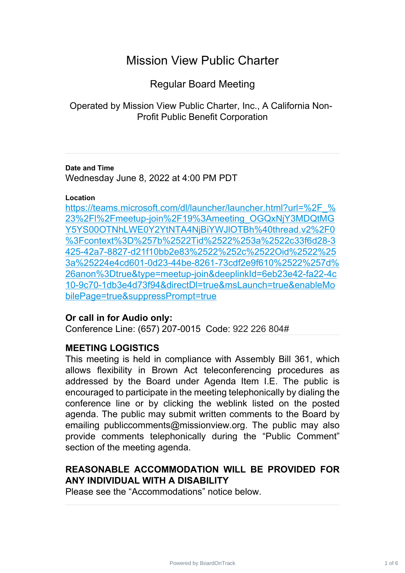# Mission View Public Charter

Regular Board Meeting

Operated by Mission View Public Charter, Inc., A California Non-Profit Public Benefit Corporation

### **Date and Time**

Wednesday June 8, 2022 at 4:00 PM PDT

### **Location**

[https://teams.microsoft.com/dl/launcher/launcher.html?url=%2F\\_%](https://teams.microsoft.com/dl/launcher/launcher.html?url=%2F_%23%2Fl%2Fmeetup-join%2F19%3Ameeting_OGQxNjY3MDQtMGY5YS00OTNhLWE0Y2YtNTA4NjBiYWJlOTBh%40thread.v2%2F0%3Fcontext%3D%257b%2522Tid%2522%253a%2522c33f6d28-3425-42a7-8827-d21f10bb2e83%2522%252c%2522Oid%2522%253a%25224e4cd601-0d23-44be-8261-73cdf2e9f610%2522%257d%26anon%3Dtrue&type=meetup-join&deeplinkId=6eb23e42-fa22-4c10-9c70-1db3e4d73f94&directDl=true&msLaunch=true&enableMobilePage=true&suppressPrompt=true) 23%2Fl%2Fmeetup-join%2F19%3Ameeting\_OGQxNjY3MDQtMG [Y5YS00OTNhLWE0Y2YtNTA4NjBiYWJlOTBh%40thread.v2%2F0](https://teams.microsoft.com/dl/launcher/launcher.html?url=%2F_%23%2Fl%2Fmeetup-join%2F19%3Ameeting_OGQxNjY3MDQtMGY5YS00OTNhLWE0Y2YtNTA4NjBiYWJlOTBh%40thread.v2%2F0%3Fcontext%3D%257b%2522Tid%2522%253a%2522c33f6d28-3425-42a7-8827-d21f10bb2e83%2522%252c%2522Oid%2522%253a%25224e4cd601-0d23-44be-8261-73cdf2e9f610%2522%257d%26anon%3Dtrue&type=meetup-join&deeplinkId=6eb23e42-fa22-4c10-9c70-1db3e4d73f94&directDl=true&msLaunch=true&enableMobilePage=true&suppressPrompt=true) %3Fcontext%3D%257b%2522Tid%2522%253a%2522c33f6d28-3 [425-42a7-8827-d21f10bb2e83%2522%252c%2522Oid%2522%25](https://teams.microsoft.com/dl/launcher/launcher.html?url=%2F_%23%2Fl%2Fmeetup-join%2F19%3Ameeting_OGQxNjY3MDQtMGY5YS00OTNhLWE0Y2YtNTA4NjBiYWJlOTBh%40thread.v2%2F0%3Fcontext%3D%257b%2522Tid%2522%253a%2522c33f6d28-3425-42a7-8827-d21f10bb2e83%2522%252c%2522Oid%2522%253a%25224e4cd601-0d23-44be-8261-73cdf2e9f610%2522%257d%26anon%3Dtrue&type=meetup-join&deeplinkId=6eb23e42-fa22-4c10-9c70-1db3e4d73f94&directDl=true&msLaunch=true&enableMobilePage=true&suppressPrompt=true) 3a%25224e4cd601-0d23-44be-8261-73cdf2e9f610%2522%257d% [26anon%3Dtrue&type=meetup-join&deeplinkId=6eb23e42-fa22-4c](https://teams.microsoft.com/dl/launcher/launcher.html?url=%2F_%23%2Fl%2Fmeetup-join%2F19%3Ameeting_OGQxNjY3MDQtMGY5YS00OTNhLWE0Y2YtNTA4NjBiYWJlOTBh%40thread.v2%2F0%3Fcontext%3D%257b%2522Tid%2522%253a%2522c33f6d28-3425-42a7-8827-d21f10bb2e83%2522%252c%2522Oid%2522%253a%25224e4cd601-0d23-44be-8261-73cdf2e9f610%2522%257d%26anon%3Dtrue&type=meetup-join&deeplinkId=6eb23e42-fa22-4c10-9c70-1db3e4d73f94&directDl=true&msLaunch=true&enableMobilePage=true&suppressPrompt=true) 10-9c70-1db3e4d73f94&directDl=true&msLaunch=true&enableMo [bilePage=true&suppressPrompt=true](https://teams.microsoft.com/dl/launcher/launcher.html?url=%2F_%23%2Fl%2Fmeetup-join%2F19%3Ameeting_OGQxNjY3MDQtMGY5YS00OTNhLWE0Y2YtNTA4NjBiYWJlOTBh%40thread.v2%2F0%3Fcontext%3D%257b%2522Tid%2522%253a%2522c33f6d28-3425-42a7-8827-d21f10bb2e83%2522%252c%2522Oid%2522%253a%25224e4cd601-0d23-44be-8261-73cdf2e9f610%2522%257d%26anon%3Dtrue&type=meetup-join&deeplinkId=6eb23e42-fa22-4c10-9c70-1db3e4d73f94&directDl=true&msLaunch=true&enableMobilePage=true&suppressPrompt=true)

### **Or call in for Audio only:**

Conference Line: (657) 207-0015 Code: 922 226 804#

### **MEETING LOGISTICS**

This meeting is held in compliance with Assembly Bill 361, which allows flexibility in Brown Act teleconferencing procedures as addressed by the Board under Agenda Item I.E. The public is encouraged to participate in the meeting telephonically by dialing the conference line or by clicking the weblink listed on the posted agenda. The public may submit written comments to the Board by emailing publiccomments@missionview.org. The public may also provide comments telephonically during the "Public Comment" section of the meeting agenda.

# **REASONABLE ACCOMMODATION WILL BE PROVIDED FOR ANY INDIVIDUAL WITH A DISABILITY**

Please see the "Accommodations" notice below.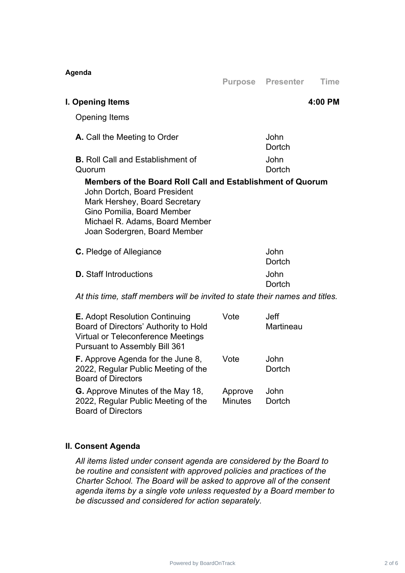| Agenda                                                                                                                                                                                                                      |                |                          |             |
|-----------------------------------------------------------------------------------------------------------------------------------------------------------------------------------------------------------------------------|----------------|--------------------------|-------------|
|                                                                                                                                                                                                                             | <b>Purpose</b> | <b>Presenter</b>         | <b>Time</b> |
| I. Opening Items                                                                                                                                                                                                            |                |                          | 4:00 PM     |
| <b>Opening Items</b>                                                                                                                                                                                                        |                |                          |             |
| A. Call the Meeting to Order                                                                                                                                                                                                |                | John<br>Dortch           |             |
| <b>B.</b> Roll Call and Establishment of<br>Quorum                                                                                                                                                                          |                | John<br>Dortch           |             |
| Members of the Board Roll Call and Establishment of Quorum<br>John Dortch, Board President<br>Mark Hershey, Board Secretary<br>Gino Pomilia, Board Member<br>Michael R. Adams, Board Member<br>Joan Sodergren, Board Member |                |                          |             |
| C. Pledge of Allegiance                                                                                                                                                                                                     |                | John<br>Dortch           |             |
| <b>D.</b> Staff Introductions                                                                                                                                                                                               |                | John<br>Dortch           |             |
| At this time, staff members will be invited to state their names and titles.                                                                                                                                                |                |                          |             |
| <b>E.</b> Adopt Resolution Continuing<br>Board of Directors' Authority to Hold<br><b>Virtual or Teleconference Meetings</b><br>Pursuant to Assembly Bill 361                                                                | Vote           | <b>Jeff</b><br>Martineau |             |
| <b>F.</b> Approve Agenda for the June 8,<br>2022, Regular Public Meeting of the<br><b>Board of Directors</b>                                                                                                                | Vote           | John<br>Dortch           |             |
| <b>G.</b> Approve Minutes of the May 18,                                                                                                                                                                                    | Approve        | John                     |             |

# **II. Consent Agenda**

Board of Directors

2022, Regular Public Meeting of the

*All items listed under consent agenda are considered by the Board to be routine and consistent with approved policies and practices of the Charter School. The Board will be asked to approve all of the consent agenda items by a single vote unless requested by a Board member to be discussed and considered for action separately.*

Minutes

**Dortch**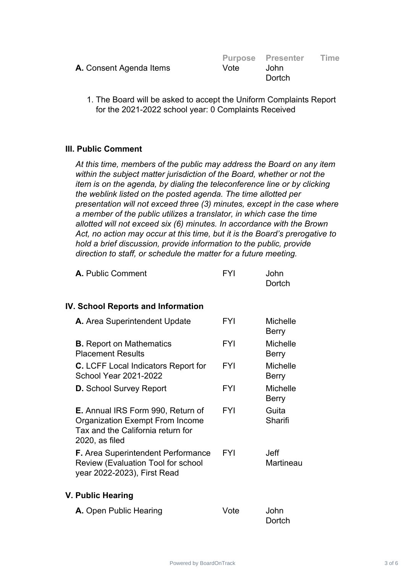|                                |      | <b>Purpose Presenter</b> | Time |
|--------------------------------|------|--------------------------|------|
| <b>A.</b> Consent Agenda Items | Vote | John.                    |      |
|                                |      | Dortch                   |      |

1. The Board will be asked to accept the Uniform Complaints Report for the 2021-2022 school year: 0 Complaints Received

### **III. Public Comment**

*At this time, members of the public may address the Board on any item within the subject matter jurisdiction of the Board, whether or not the item is on the agenda, by dialing the teleconference line or by clicking the weblink listed on the posted agenda. The time allotted per presentation will not exceed three (3) minutes, except in the case where a member of the public utilizes a translator, in which case the time allotted will not exceed six (6) minutes. In accordance with the Brown Act, no action may occur at this time, but it is the Board's prerogative to hold a brief discussion, provide information to the public, provide direction to staff, or schedule the matter for a future meeting.*

| A. Public Comment | FYI | John   |
|-------------------|-----|--------|
|                   |     | Dortch |

### **IV. School Reports and Information**

| A. Area Superintendent Update                                                                                                                | FYI        | Michelle<br>Berry               |
|----------------------------------------------------------------------------------------------------------------------------------------------|------------|---------------------------------|
| <b>B.</b> Report on Mathematics<br><b>Placement Results</b>                                                                                  | <b>FYI</b> | <b>Michelle</b><br><b>Berry</b> |
| <b>C.</b> LCFF Local Indicators Report for<br>School Year 2021-2022                                                                          | <b>FYI</b> | Michelle<br>Berry               |
| <b>D.</b> School Survey Report                                                                                                               | <b>FYI</b> | Michelle<br><b>Berry</b>        |
| <b>E.</b> Annual IRS Form 990, Return of<br><b>Organization Exempt From Income</b><br>Tax and the California return for<br>$2020$ , as filed | <b>FYI</b> | Guita<br>Sharifi                |
| <b>F.</b> Area Superintendent Performance<br><b>Review (Evaluation Tool for school</b><br>year 2022-2023), First Read                        | FYI        | .Jeff<br>Martineau              |

#### **V. Public Hearing**

| A. Open Public Hearing | Vote | John   |
|------------------------|------|--------|
|                        |      | Dortch |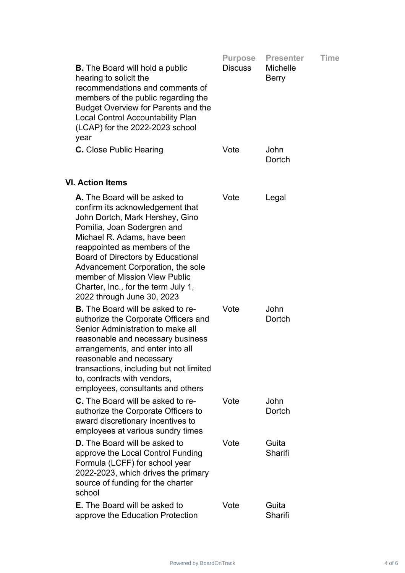|                                                                                                                                                                                                                                                                                                                                                                                     | <b>Purpose</b> | <b>Presenter</b>                | Time |
|-------------------------------------------------------------------------------------------------------------------------------------------------------------------------------------------------------------------------------------------------------------------------------------------------------------------------------------------------------------------------------------|----------------|---------------------------------|------|
| <b>B.</b> The Board will hold a public<br>hearing to solicit the<br>recommendations and comments of<br>members of the public regarding the<br><b>Budget Overview for Parents and the</b><br><b>Local Control Accountability Plan</b><br>(LCAP) for the 2022-2023 school<br>year                                                                                                     | <b>Discuss</b> | <b>Michelle</b><br><b>Berry</b> |      |
| <b>C.</b> Close Public Hearing                                                                                                                                                                                                                                                                                                                                                      | Vote           | John<br>Dortch                  |      |
| <b>VI. Action Items</b>                                                                                                                                                                                                                                                                                                                                                             |                |                                 |      |
| A. The Board will be asked to<br>confirm its acknowledgement that<br>John Dortch, Mark Hershey, Gino<br>Pomilia, Joan Sodergren and<br>Michael R. Adams, have been<br>reappointed as members of the<br>Board of Directors by Educational<br>Advancement Corporation, the sole<br>member of Mission View Public<br>Charter, Inc., for the term July 1,<br>2022 through June 30, 2023 | Vote           | Legal                           |      |
| <b>B.</b> The Board will be asked to re-<br>authorize the Corporate Officers and<br>Senior Administration to make all<br>reasonable and necessary business<br>arrangements, and enter into all<br>reasonable and necessary<br>transactions, including but not limited<br>to, contracts with vendors,<br>employees, consultants and others                                           | Vote           | John<br>Dortch                  |      |
| <b>C.</b> The Board will be asked to re-<br>authorize the Corporate Officers to<br>award discretionary incentives to<br>employees at various sundry times                                                                                                                                                                                                                           | Vote           | John<br>Dortch                  |      |
| <b>D.</b> The Board will be asked to<br>approve the Local Control Funding<br>Formula (LCFF) for school year<br>2022-2023, which drives the primary<br>source of funding for the charter<br>school                                                                                                                                                                                   | Vote           | Guita<br>Sharifi                |      |
| <b>E.</b> The Board will be asked to<br>approve the Education Protection                                                                                                                                                                                                                                                                                                            | Vote           | Guita<br>Sharifi                |      |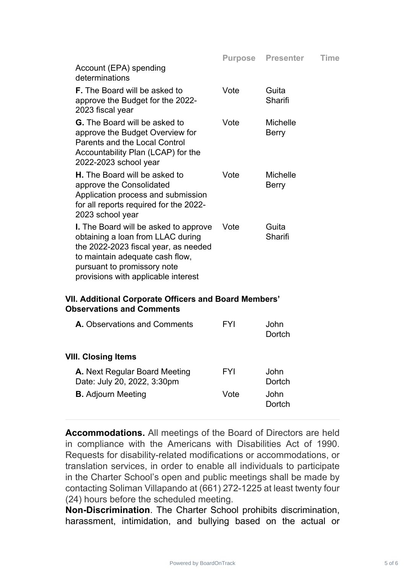|                                                                                                                                                                                                                                    |      | <b>Purpose Presenter</b> | Time |
|------------------------------------------------------------------------------------------------------------------------------------------------------------------------------------------------------------------------------------|------|--------------------------|------|
| Account (EPA) spending<br>determinations                                                                                                                                                                                           |      |                          |      |
| <b>F.</b> The Board will be asked to<br>approve the Budget for the 2022-<br>2023 fiscal year                                                                                                                                       | Vote | Guita<br>Sharifi         |      |
| <b>G.</b> The Board will be asked to<br>approve the Budget Overview for<br>Parents and the Local Control<br>Accountability Plan (LCAP) for the<br>2022-2023 school year                                                            | Vote | <b>Michelle</b><br>Berry |      |
| <b>H.</b> The Board will be asked to<br>approve the Consolidated<br>Application process and submission<br>for all reports required for the 2022-<br>2023 school year                                                               | Vote | <b>Michelle</b><br>Berry |      |
| <b>I.</b> The Board will be asked to approve<br>obtaining a loan from LLAC during<br>the 2022-2023 fiscal year, as needed<br>to maintain adequate cash flow,<br>pursuant to promissory note<br>provisions with applicable interest | Vote | Guita<br>Sharifi         |      |

### **VII. Additional Corporate Officers and Board Members' Observations and Comments**

| FYI  | .John<br>Dortch |
|------|-----------------|
|      |                 |
| FYI  | John<br>Dortch  |
| Vote | John<br>Dortch  |
|      |                 |

**Accommodations.** All meetings of the Board of Directors are held in compliance with the Americans with Disabilities Act of 1990. Requests for disability-related modifications or accommodations, or translation services, in order to enable all individuals to participate in the Charter School's open and public meetings shall be made by contacting Soliman Villapando at (661) 272-1225 at least twenty four (24) hours before the scheduled meeting.

**Non-Discrimination**. The Charter School prohibits discrimination, harassment, intimidation, and bullying based on the actual or